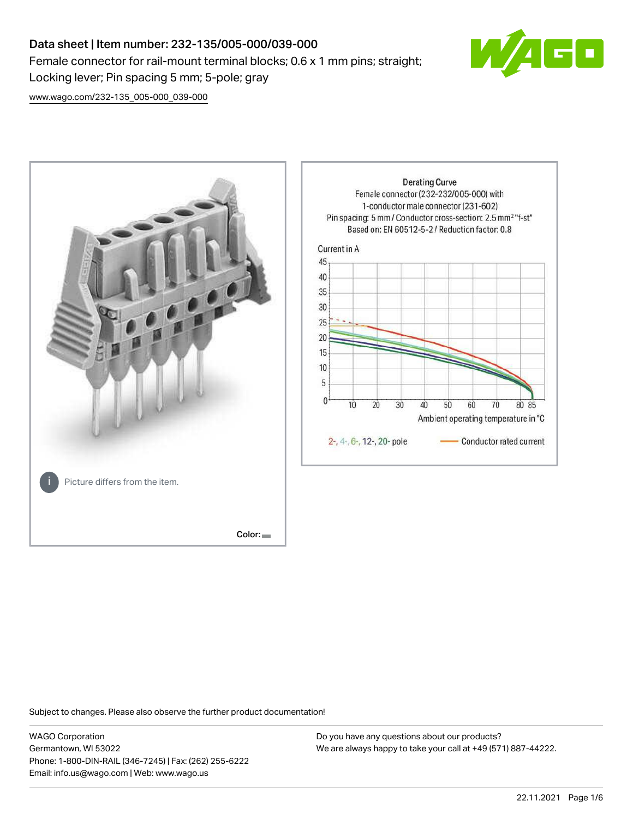# Data sheet | Item number: 232-135/005-000/039-000 Female connector for rail-mount terminal blocks; 0.6 x 1 mm pins; straight; Locking lever; Pin spacing 5 mm; 5-pole; gray



[www.wago.com/232-135\\_005-000\\_039-000](http://www.wago.com/232-135_005-000_039-000)



Subject to changes. Please also observe the further product documentation!

WAGO Corporation Germantown, WI 53022 Phone: 1-800-DIN-RAIL (346-7245) | Fax: (262) 255-6222 Email: info.us@wago.com | Web: www.wago.us

Do you have any questions about our products? We are always happy to take your call at +49 (571) 887-44222.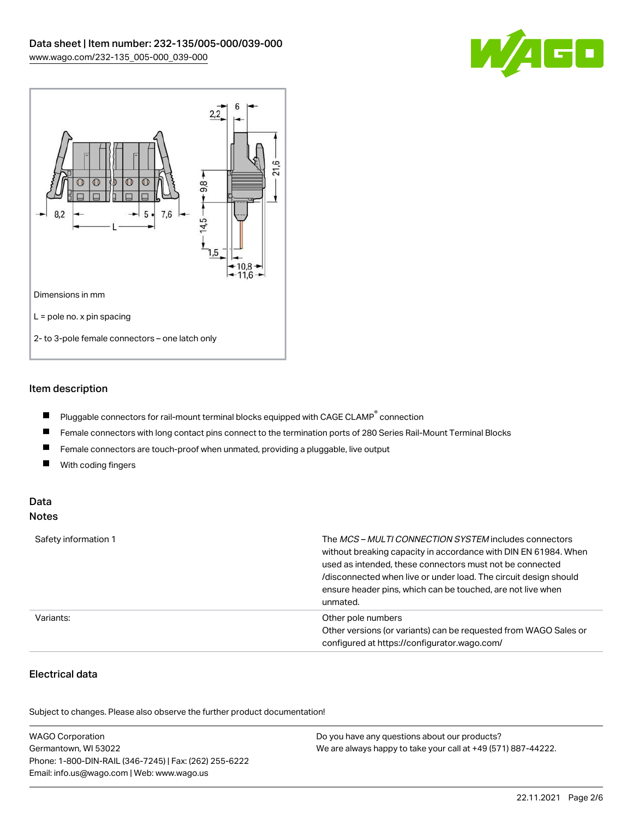



## Item description

- $\blacksquare$ Pluggable connectors for rail-mount terminal blocks equipped with CAGE CLAMP $^{\circ}$  connection
- $\blacksquare$ Female connectors with long contact pins connect to the termination ports of 280 Series Rail-Mount Terminal Blocks
- $\blacksquare$ Female connectors are touch-proof when unmated, providing a pluggable, live output
- $\blacksquare$ With coding fingers

#### Data Notes

| Safety information 1 | The <i>MCS – MULTI CONNECTION SYSTEM</i> includes connectors<br>without breaking capacity in accordance with DIN EN 61984. When<br>used as intended, these connectors must not be connected<br>/disconnected when live or under load. The circuit design should<br>ensure header pins, which can be touched, are not live when<br>unmated. |
|----------------------|--------------------------------------------------------------------------------------------------------------------------------------------------------------------------------------------------------------------------------------------------------------------------------------------------------------------------------------------|
| Variants:            | Other pole numbers<br>Other versions (or variants) can be requested from WAGO Sales or<br>configured at https://configurator.wago.com/                                                                                                                                                                                                     |

# Electrical data

.<br>Subject to changes. Please also observe the further product documentation!

| <b>WAGO Corporation</b>                                | Do you have any questions about our products?                 |
|--------------------------------------------------------|---------------------------------------------------------------|
| Germantown, WI 53022                                   | We are always happy to take your call at +49 (571) 887-44222. |
| Phone: 1-800-DIN-RAIL (346-7245)   Fax: (262) 255-6222 |                                                               |
| Email: info.us@wago.com   Web: www.wago.us             |                                                               |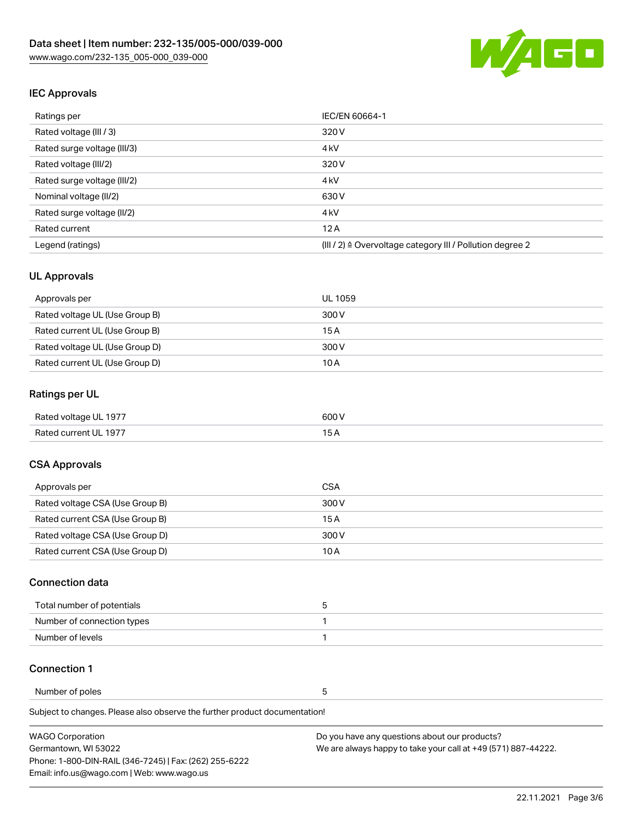

## IEC Approvals

| Ratings per                 | IEC/EN 60664-1                                                       |
|-----------------------------|----------------------------------------------------------------------|
| Rated voltage (III / 3)     | 320 V                                                                |
| Rated surge voltage (III/3) | 4 <sub>k</sub> V                                                     |
| Rated voltage (III/2)       | 320 V                                                                |
| Rated surge voltage (III/2) | 4 <sub>k</sub> V                                                     |
| Nominal voltage (II/2)      | 630 V                                                                |
| Rated surge voltage (II/2)  | 4 <sub>k</sub> V                                                     |
| Rated current               | 12A                                                                  |
| Legend (ratings)            | (III / 2) $\triangleq$ Overvoltage category III / Pollution degree 2 |

## UL Approvals

| Approvals per                  | UL 1059 |
|--------------------------------|---------|
| Rated voltage UL (Use Group B) | 300 V   |
| Rated current UL (Use Group B) | 15 A    |
| Rated voltage UL (Use Group D) | 300 V   |
| Rated current UL (Use Group D) | 10 A    |

## Ratings per UL

| Rated voltage UL 1977 | 600V |
|-----------------------|------|
| Rated current UL 1977 |      |

## CSA Approvals

| Approvals per                   | CSA   |
|---------------------------------|-------|
| Rated voltage CSA (Use Group B) | 300 V |
| Rated current CSA (Use Group B) | 15 A  |
| Rated voltage CSA (Use Group D) | 300 V |
| Rated current CSA (Use Group D) | 10 A  |

#### Connection data

| Total number of potentials |  |
|----------------------------|--|
| Number of connection types |  |
| Number of levels           |  |

#### Connection 1

Number of poles 5

Subject to changes. Please also observe the further product documentation!

| <b>WAGO Corporation</b>                                | Do you have any questions about our products?                 |
|--------------------------------------------------------|---------------------------------------------------------------|
| Germantown, WI 53022                                   | We are always happy to take your call at +49 (571) 887-44222. |
| Phone: 1-800-DIN-RAIL (346-7245)   Fax: (262) 255-6222 |                                                               |
| Email: info.us@wago.com   Web: www.wago.us             |                                                               |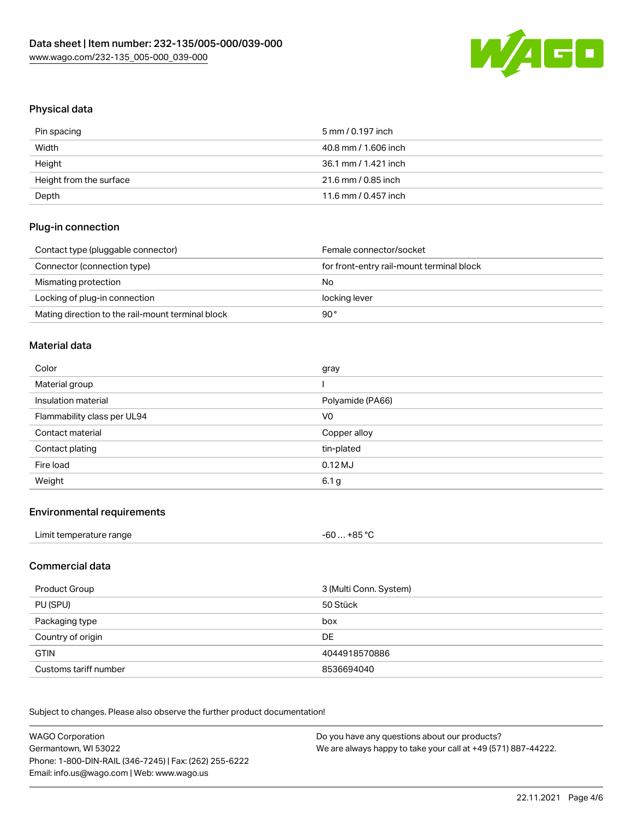

# Physical data

| Pin spacing             | 5 mm / 0.197 inch    |
|-------------------------|----------------------|
| Width                   | 40.8 mm / 1.606 inch |
| Height                  | 36.1 mm / 1.421 inch |
| Height from the surface | 21.6 mm / 0.85 inch  |
| Depth                   | 11.6 mm / 0.457 inch |

## Plug-in connection

| Contact type (pluggable connector)                | Female connector/socket                   |
|---------------------------------------------------|-------------------------------------------|
| Connector (connection type)                       | for front-entry rail-mount terminal block |
| Mismating protection                              | No                                        |
| Locking of plug-in connection                     | locking lever                             |
| Mating direction to the rail-mount terminal block | 90°                                       |

#### Material data

| Color                       | gray             |
|-----------------------------|------------------|
| Material group              |                  |
| Insulation material         | Polyamide (PA66) |
| Flammability class per UL94 | V <sub>0</sub>   |
|                             |                  |
| Contact material            | Copper alloy     |
| Contact plating             | tin-plated       |
| Fire load                   | $0.12$ MJ        |

#### Environmental requirements

## Commercial data

| Product Group         | 3 (Multi Conn. System) |
|-----------------------|------------------------|
| PU (SPU)              | 50 Stück               |
| Packaging type        | box                    |
| Country of origin     | DE                     |
| <b>GTIN</b>           | 4044918570886          |
| Customs tariff number | 8536694040             |

Subject to changes. Please also observe the further product documentation!

| <b>WAGO Corporation</b>                                | Do you have any questions about our products?                 |
|--------------------------------------------------------|---------------------------------------------------------------|
| Germantown, WI 53022                                   | We are always happy to take your call at +49 (571) 887-44222. |
| Phone: 1-800-DIN-RAIL (346-7245)   Fax: (262) 255-6222 |                                                               |
| Email: info.us@wago.com   Web: www.wago.us             |                                                               |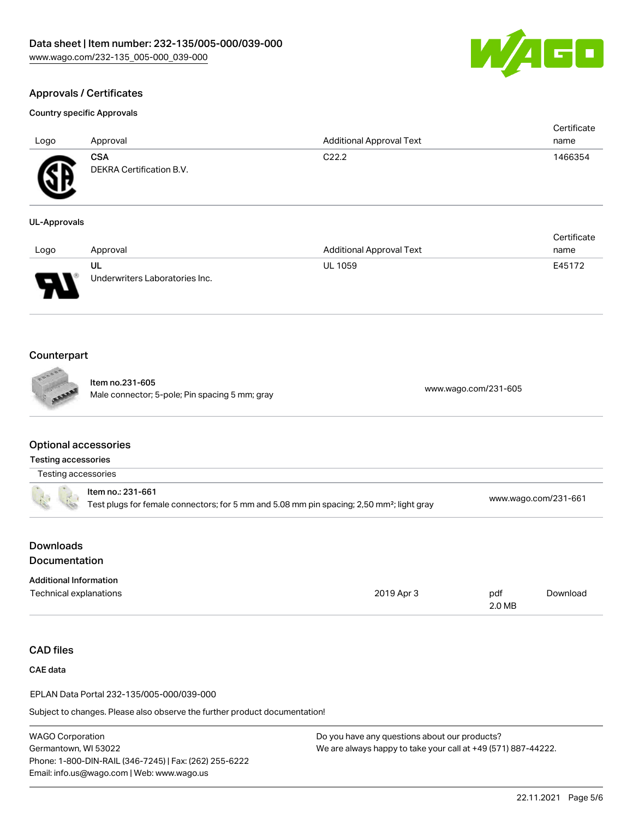

Certificate

# Approvals / Certificates

#### Country specific Approvals

| Logo             | Approval                                      | <b>Additional Approval Text</b> | Certificate<br>name |
|------------------|-----------------------------------------------|---------------------------------|---------------------|
| Æ<br>$\bf\omega$ | <b>CSA</b><br><b>DEKRA Certification B.V.</b> | C <sub>22.2</sub>               | 1466354             |

## UL-Approvals

| Logo                          | Approval                             | <b>Additional Approval Text</b> | name   |
|-------------------------------|--------------------------------------|---------------------------------|--------|
| J<br>$\overline{\phantom{a}}$ | UL<br>Underwriters Laboratories Inc. | <b>UL 1059</b>                  | E45172 |

## Counterpart

Item no.231-605 nem 10.251-005<br>Male connector; 5-pole; Pin spacing 5 mm; gray [www.wago.com/231-605](https://www.wago.com/231-605)

#### Optional accessories

| Testing accessories |  |
|---------------------|--|
|---------------------|--|

|  | Item no.: 231-661<br>Test plugs for female connectors; for 5 mm and 5.08 mm pin spacing; 2,50 mm <sup>2</sup> ; light gray | www.wago.com/231-661 |
|--|----------------------------------------------------------------------------------------------------------------------------|----------------------|
|--|----------------------------------------------------------------------------------------------------------------------------|----------------------|

## Downloads Documentation

| <b>Additional Information</b> |            |        |          |
|-------------------------------|------------|--------|----------|
| Technical explanations        | 2019 Apr 3 | pdf    | Download |
|                               |            | 2.0 MB |          |

## CAD files

CAE data

EPLAN Data Portal 232-135/005-000/039-000

Subject to changes. Please also observe the further product documentation!

Do you have any questions about our products? We are always happy to take your call at +49 (571) 887-44222.